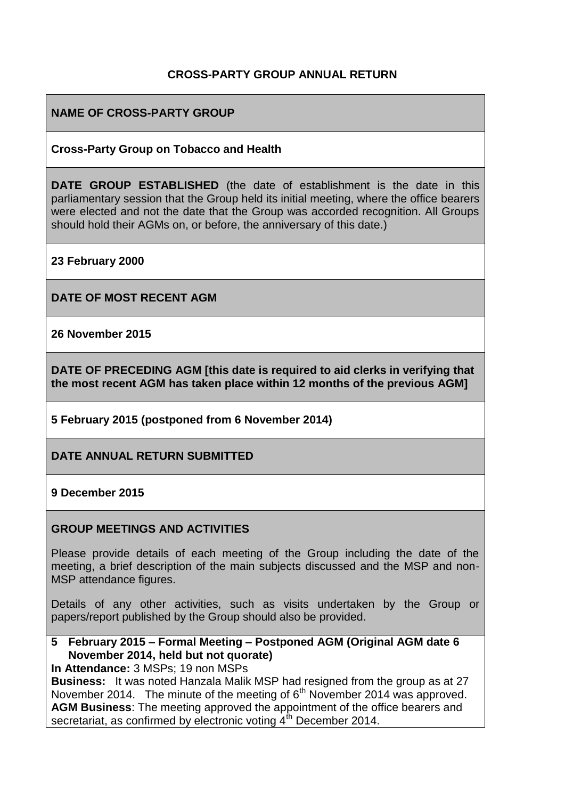## **CROSS-PARTY GROUP ANNUAL RETURN**

### **NAME OF CROSS-PARTY GROUP**

### **Cross-Party Group on Tobacco and Health**

**DATE GROUP ESTABLISHED** (the date of establishment is the date in this parliamentary session that the Group held its initial meeting, where the office bearers were elected and not the date that the Group was accorded recognition. All Groups should hold their AGMs on, or before, the anniversary of this date.)

**23 February 2000**

**DATE OF MOST RECENT AGM**

**26 November 2015**

**DATE OF PRECEDING AGM [this date is required to aid clerks in verifying that the most recent AGM has taken place within 12 months of the previous AGM]**

**5 February 2015 (postponed from 6 November 2014)**

**DATE ANNUAL RETURN SUBMITTED**

#### **9 December 2015**

#### **GROUP MEETINGS AND ACTIVITIES**

Please provide details of each meeting of the Group including the date of the meeting, a brief description of the main subjects discussed and the MSP and non-MSP attendance figures.

Details of any other activities, such as visits undertaken by the Group or papers/report published by the Group should also be provided.

### **5 February 2015 – Formal Meeting – Postponed AGM (Original AGM date 6 November 2014, held but not quorate)**

**In Attendance:** 3 MSPs; 19 non MSPs

**Business:** It was noted Hanzala Malik MSP had resigned from the group as at 27 November 2014. The minute of the meeting of  $6<sup>th</sup>$  November 2014 was approved. **AGM Business**: The meeting approved the appointment of the office bearers and secretariat, as confirmed by electronic voting 4<sup>th</sup> December 2014.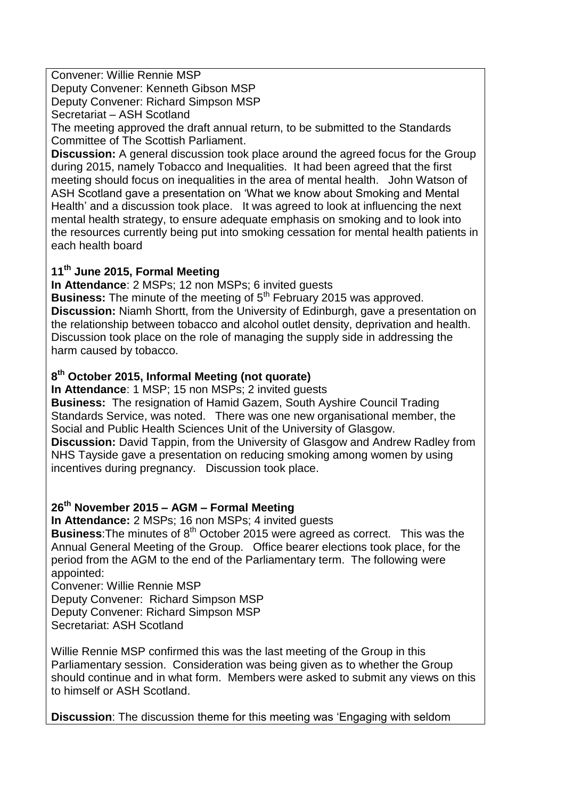Convener: Willie Rennie MSP

Deputy Convener: Kenneth Gibson MSP

Deputy Convener: Richard Simpson MSP

Secretariat – ASH Scotland

The meeting approved the draft annual return, to be submitted to the Standards Committee of The Scottish Parliament.

**Discussion:** A general discussion took place around the agreed focus for the Group during 2015, namely Tobacco and Inequalities. It had been agreed that the first meeting should focus on inequalities in the area of mental health. John Watson of ASH Scotland gave a presentation on 'What we know about Smoking and Mental Health' and a discussion took place. It was agreed to look at influencing the next mental health strategy, to ensure adequate emphasis on smoking and to look into the resources currently being put into smoking cessation for mental health patients in each health board

## **11th June 2015, Formal Meeting**

**In Attendance**: 2 MSPs; 12 non MSPs; 6 invited guests

**Business:** The minute of the meeting of 5<sup>th</sup> February 2015 was approved. **Discussion:** Niamh Shortt, from the University of Edinburgh, gave a presentation on the relationship between tobacco and alcohol outlet density, deprivation and health. Discussion took place on the role of managing the supply side in addressing the harm caused by tobacco.

# **8 th October 2015, Informal Meeting (not quorate)**

**In Attendance**: 1 MSP; 15 non MSPs; 2 invited guests

**Business:** The resignation of Hamid Gazem, South Ayshire Council Trading Standards Service, was noted. There was one new organisational member, the Social and Public Health Sciences Unit of the University of Glasgow. **Discussion:** David Tappin, from the University of Glasgow and Andrew Radley from NHS Tayside gave a presentation on reducing smoking among women by using incentives during pregnancy. Discussion took place.

# **26th November 2015 – AGM – Formal Meeting**

**In Attendance:** 2 MSPs; 16 non MSPs; 4 invited guests

**Business:** The minutes of 8<sup>th</sup> October 2015 were agreed as correct. This was the Annual General Meeting of the Group. Office bearer elections took place, for the period from the AGM to the end of the Parliamentary term. The following were appointed:

Convener: Willie Rennie MSP

Deputy Convener: Richard Simpson MSP Deputy Convener: Richard Simpson MSP Secretariat: ASH Scotland

Willie Rennie MSP confirmed this was the last meeting of the Group in this Parliamentary session. Consideration was being given as to whether the Group should continue and in what form. Members were asked to submit any views on this to himself or ASH Scotland.

**Discussion**: The discussion theme for this meeting was 'Engaging with seldom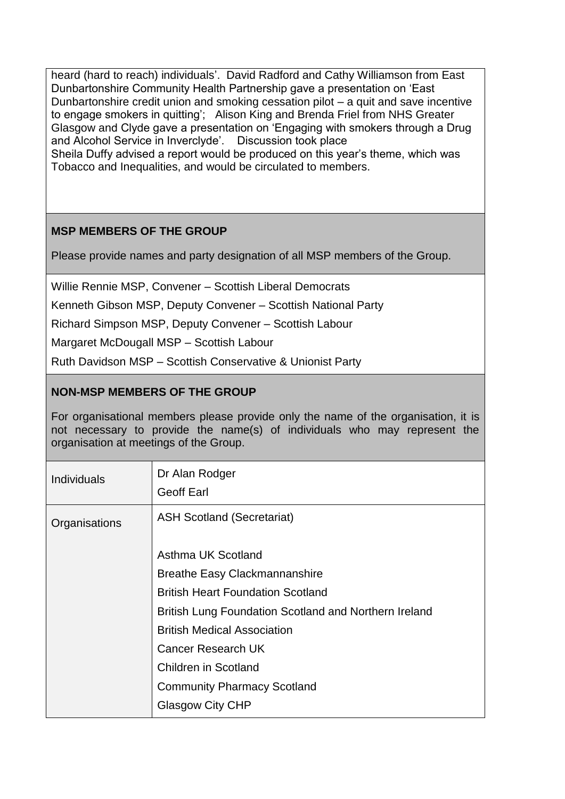heard (hard to reach) individuals'. David Radford and Cathy Williamson from East Dunbartonshire Community Health Partnership gave a presentation on 'East Dunbartonshire credit union and smoking cessation pilot – a quit and save incentive to engage smokers in quitting'; Alison King and Brenda Friel from NHS Greater Glasgow and Clyde gave a presentation on 'Engaging with smokers through a Drug and Alcohol Service in Inverclyde'. Discussion took place Sheila Duffy advised a report would be produced on this year's theme, which was Tobacco and Inequalities, and would be circulated to members.

# **MSP MEMBERS OF THE GROUP**

Please provide names and party designation of all MSP members of the Group.

Willie Rennie MSP, Convener – Scottish Liberal Democrats

Kenneth Gibson MSP, Deputy Convener – Scottish National Party

Richard Simpson MSP, Deputy Convener – Scottish Labour

Margaret McDougall MSP – Scottish Labour

Ruth Davidson MSP – Scottish Conservative & Unionist Party

### **NON-MSP MEMBERS OF THE GROUP**

For organisational members please provide only the name of the organisation, it is not necessary to provide the name(s) of individuals who may represent the organisation at meetings of the Group.

| <b>Individuals</b> | Dr Alan Rodger<br><b>Geoff Earl</b>                   |
|--------------------|-------------------------------------------------------|
| Organisations      | <b>ASH Scotland (Secretariat)</b>                     |
|                    | Asthma UK Scotland                                    |
|                    | <b>Breathe Easy Clackmannanshire</b>                  |
|                    | <b>British Heart Foundation Scotland</b>              |
|                    | British Lung Foundation Scotland and Northern Ireland |
|                    | <b>British Medical Association</b>                    |
|                    | <b>Cancer Research UK</b>                             |
|                    | <b>Children in Scotland</b>                           |
|                    | <b>Community Pharmacy Scotland</b>                    |
|                    | <b>Glasgow City CHP</b>                               |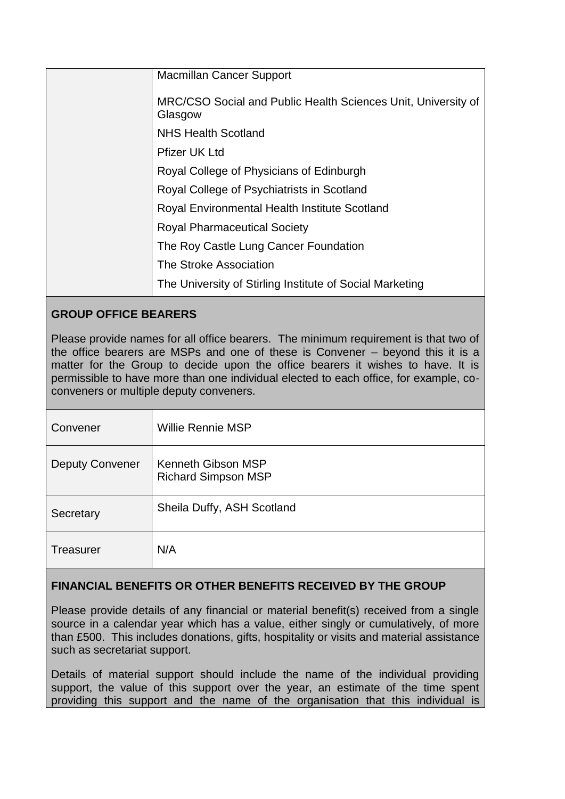| <b>Macmillan Cancer Support</b>                                          |
|--------------------------------------------------------------------------|
| MRC/CSO Social and Public Health Sciences Unit, University of<br>Glasgow |
| <b>NHS Health Scotland</b>                                               |
| <b>Pfizer UK Ltd</b>                                                     |
| Royal College of Physicians of Edinburgh                                 |
| Royal College of Psychiatrists in Scotland                               |
| Royal Environmental Health Institute Scotland                            |
| <b>Royal Pharmaceutical Society</b>                                      |
| The Roy Castle Lung Cancer Foundation                                    |
| The Stroke Association                                                   |
| The University of Stirling Institute of Social Marketing                 |

# **GROUP OFFICE BEARERS**

Please provide names for all office bearers. The minimum requirement is that two of the office bearers are MSPs and one of these is Convener – beyond this it is a matter for the Group to decide upon the office bearers it wishes to have. It is permissible to have more than one individual elected to each office, for example, coconveners or multiple deputy conveners.

| Convener               | <b>Willie Rennie MSP</b>                         |
|------------------------|--------------------------------------------------|
| <b>Deputy Convener</b> | Kenneth Gibson MSP<br><b>Richard Simpson MSP</b> |
| Secretary              | Sheila Duffy, ASH Scotland                       |
| <b>Treasurer</b>       | N/A                                              |

## **FINANCIAL BENEFITS OR OTHER BENEFITS RECEIVED BY THE GROUP**

Please provide details of any financial or material benefit(s) received from a single source in a calendar year which has a value, either singly or cumulatively, of more than £500. This includes donations, gifts, hospitality or visits and material assistance such as secretariat support.

Details of material support should include the name of the individual providing support, the value of this support over the year, an estimate of the time spent providing this support and the name of the organisation that this individual is